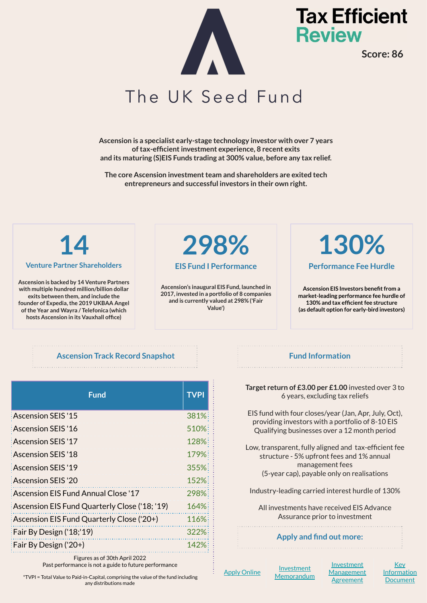

**Tax Efficient Review** 

**Score: 86**

### The UK Seed Fund

**Ascension is a specialist early-stage technology investor with over 7 years of tax-efficient investment experience, 8 recent exits and its maturing (S)EIS Funds trading at 300% value, before any tax relief.**

**The core Ascension investment team and shareholders are exited tech entrepreneurs and successful investors in their own right.**

#### **Venture Partner Shareholders**

**Ascension is backed by 14 Venture Partners with multiple hundred million/billion dollar exits between them, and include the founder of Expedia, the 2019 UKBAA Angel of the Year and Wayra / Telefonica (which hosts Ascension in its Vauxhall office)** 

## **14 298%**

#### **EIS Fund I Performance**

**Ascension's inaugural EIS Fund, launched in 2017, invested in a portfolio of 8 companies and is currently valued at 298% ('Fair Value')**

## **130%**

#### **Performance Fee Hurdle**

**Ascension EIS Investors benefit from a market-leading performance fee hurdle of 130% and tax efficient fee structure (as default option for early-bird investors)**

#### **Ascension Track Record Snapshot Ascension Track Record Snapshot Assembly Fund Information**

| <b>Fund</b>                                   | <b>TVPI</b> |
|-----------------------------------------------|-------------|
| Ascension SEIS '15                            | 381%        |
| Ascension SEIS '16                            | 510%        |
| Ascension SEIS '17                            | 128%        |
| Ascension SEIS '18                            | 179%        |
| Ascension SEIS '19                            | 355%        |
| Ascension SEIS '20:                           | 152%        |
| Ascension EIS Fund Annual Close '17           | 298%        |
| Ascension EIS Fund Quarterly Close ('18; '19) | $164\%$     |
| Ascension EIS Fund Quarterly Close ('20+)     | 116%        |
| Fair By Design ('18;'19)                      | 322%        |
| $Fair By Design('20+)$                        | 142%        |

Figures as of 30th April 2022 Past performance is not a guide to future performance

\*TVPI = Total Value to Paid-in-Capital, comprising the value of the fund including any distributions made

**Target return of £3.00 per £1.00** invested over 3 to 6 years, excluding tax reliefs

EIS fund with four closes/year (Jan, Apr, July, Oct), providing investors with a portfolio of 8-10 EIS Qualifying businesses over a 12 month period

Low, transparent, fully aligned and tax-efficient fee structure - 5% upfront fees and 1% annual management fees (5-year cap), payable only on realisations

Industry-leading carried interest hurdle of 130%

All investments have received EIS Advance Assurance prior to investment

#### **Apply and find out more:**

[Apply Online](https://apps.mainspringfs.com/forms/ascension) [Investment](https://ascensioncloud.egnyte.com/dl/j1tsESvpWT)

**[Memorandum](https://ascensioncloud.egnyte.com/dl/j1tsESvpWT)** 

**[Investment](https://ascensioncloud.egnyte.com/dl/PU9kzVfb3O) [Management](https://ascensioncloud.egnyte.com/dl/PU9kzVfb3O) [Agreement](https://ascensioncloud.egnyte.com/dl/PU9kzVfb3O)** 

[Key](https://ascensioncloud.egnyte.com/dl/PTg1OCNwfB) **[Information](https://ascensioncloud.egnyte.com/dl/PTg1OCNwfB) [Document](https://ascensioncloud.egnyte.com/dl/PTg1OCNwfB)**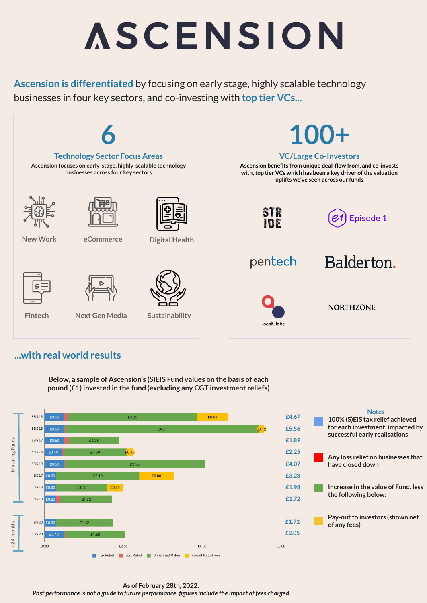# ASCENSION

**Ascension is differentiated** by focusing on early stage, highly scalable technology businesses in four key sectors, and co-investing with **top tier VCs...**



### **...with real world results**

**Below, a sample of Ascension's (S)EIS Fund values on the basis of each pound (£1) invested in the fund (excluding any CGT investment reliefs)**